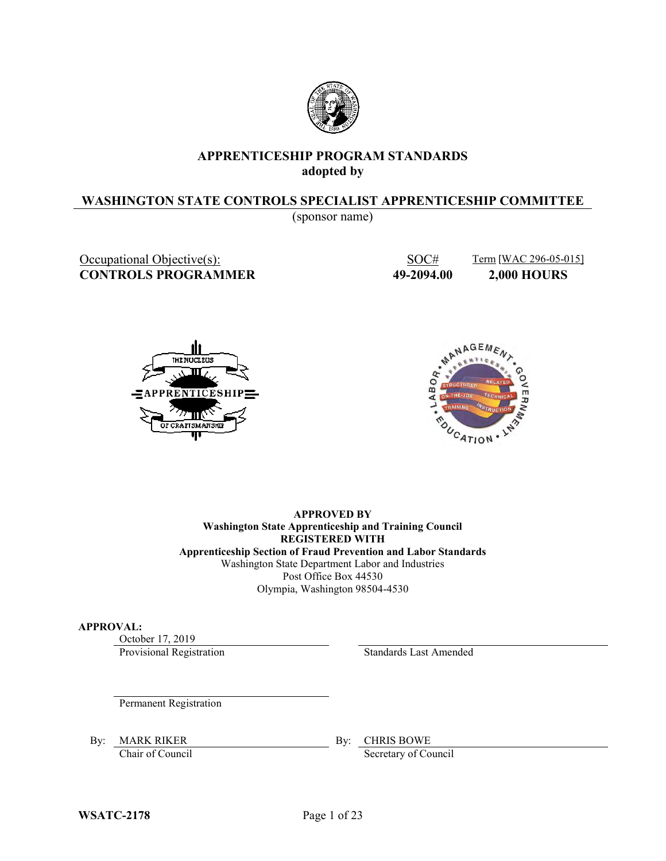

# **APPRENTICESHIP PROGRAM STANDARDS adopted by**

# **WASHINGTON STATE CONTROLS SPECIALIST APPRENTICESHIP COMMITTEE**

(sponsor name)

**CONTROLS PROGRAMMER 49-2094.00 2,000 HOURS**

Occupational Objective(s): SOC# Term [WAC 296-05-015]





**APPROVED BY Washington State Apprenticeship and Training Council REGISTERED WITH Apprenticeship Section of Fraud Prevention and Labor Standards** Washington State Department Labor and Industries Post Office Box 44530 Olympia, Washington 98504-4530

### **APPROVAL:**

October 17, 2019

Provisional Registration Standards Last Amended

Permanent Registration

By: MARK RIKER BY: CHRIS BOWE

Chair of Council Secretary of Council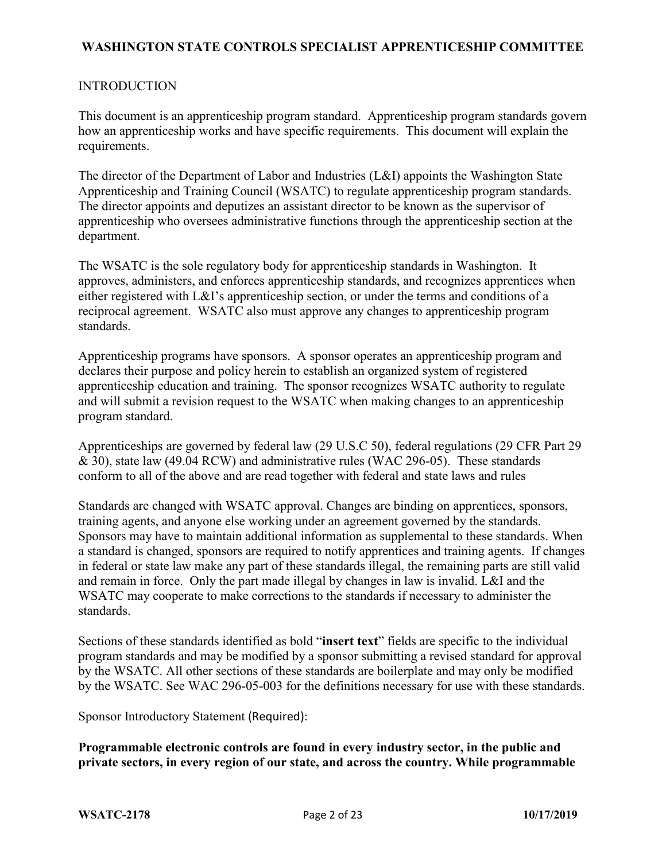### INTRODUCTION

This document is an apprenticeship program standard. Apprenticeship program standards govern how an apprenticeship works and have specific requirements. This document will explain the requirements.

The director of the Department of Labor and Industries (L&I) appoints the Washington State Apprenticeship and Training Council (WSATC) to regulate apprenticeship program standards. The director appoints and deputizes an assistant director to be known as the supervisor of apprenticeship who oversees administrative functions through the apprenticeship section at the department.

The WSATC is the sole regulatory body for apprenticeship standards in Washington. It approves, administers, and enforces apprenticeship standards, and recognizes apprentices when either registered with L&I's apprenticeship section, or under the terms and conditions of a reciprocal agreement. WSATC also must approve any changes to apprenticeship program standards.

Apprenticeship programs have sponsors. A sponsor operates an apprenticeship program and declares their purpose and policy herein to establish an organized system of registered apprenticeship education and training. The sponsor recognizes WSATC authority to regulate and will submit a revision request to the WSATC when making changes to an apprenticeship program standard.

Apprenticeships are governed by federal law (29 U.S.C 50), federal regulations (29 CFR Part 29 & 30), state law (49.04 RCW) and administrative rules (WAC 296-05). These standards conform to all of the above and are read together with federal and state laws and rules

Standards are changed with WSATC approval. Changes are binding on apprentices, sponsors, training agents, and anyone else working under an agreement governed by the standards. Sponsors may have to maintain additional information as supplemental to these standards. When a standard is changed, sponsors are required to notify apprentices and training agents. If changes in federal or state law make any part of these standards illegal, the remaining parts are still valid and remain in force. Only the part made illegal by changes in law is invalid. L&I and the WSATC may cooperate to make corrections to the standards if necessary to administer the standards.

Sections of these standards identified as bold "**insert text**" fields are specific to the individual program standards and may be modified by a sponsor submitting a revised standard for approval by the WSATC. All other sections of these standards are boilerplate and may only be modified by the WSATC. See WAC 296-05-003 for the definitions necessary for use with these standards.

Sponsor Introductory Statement (Required):

**Programmable electronic controls are found in every industry sector, in the public and private sectors, in every region of our state, and across the country. While programmable**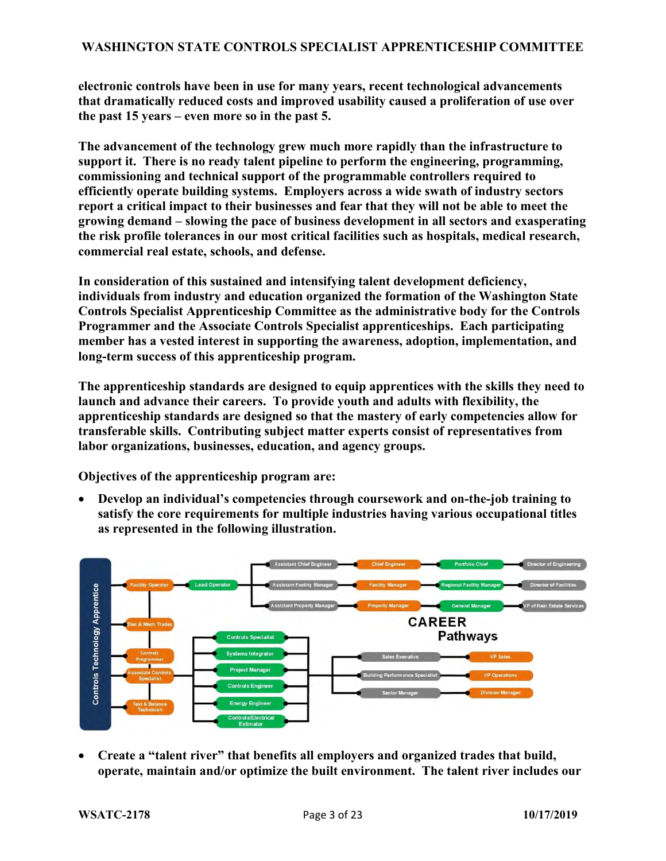**electronic controls have been in use for many years, recent technological advancements that dramatically reduced costs and improved usability caused a proliferation of use over the past 15 years – even more so in the past 5.** 

**The advancement of the technology grew much more rapidly than the infrastructure to support it. There is no ready talent pipeline to perform the engineering, programming, commissioning and technical support of the programmable controllers required to efficiently operate building systems. Employers across a wide swath of industry sectors report a critical impact to their businesses and fear that they will not be able to meet the growing demand – slowing the pace of business development in all sectors and exasperating the risk profile tolerances in our most critical facilities such as hospitals, medical research, commercial real estate, schools, and defense.**

**In consideration of this sustained and intensifying talent development deficiency, individuals from industry and education organized the formation of the Washington State Controls Specialist Apprenticeship Committee as the administrative body for the Controls Programmer and the Associate Controls Specialist apprenticeships. Each participating member has a vested interest in supporting the awareness, adoption, implementation, and long-term success of this apprenticeship program.** 

**The apprenticeship standards are designed to equip apprentices with the skills they need to launch and advance their careers. To provide youth and adults with flexibility, the apprenticeship standards are designed so that the mastery of early competencies allow for transferable skills. Contributing subject matter experts consist of representatives from labor organizations, businesses, education, and agency groups.** 

**Objectives of the apprenticeship program are:**

 **Develop an individual's competencies through coursework and on-the-job training to satisfy the core requirements for multiple industries having various occupational titles as represented in the following illustration.**



 **Create a "talent river" that benefits all employers and organized trades that build, operate, maintain and/or optimize the built environment. The talent river includes our**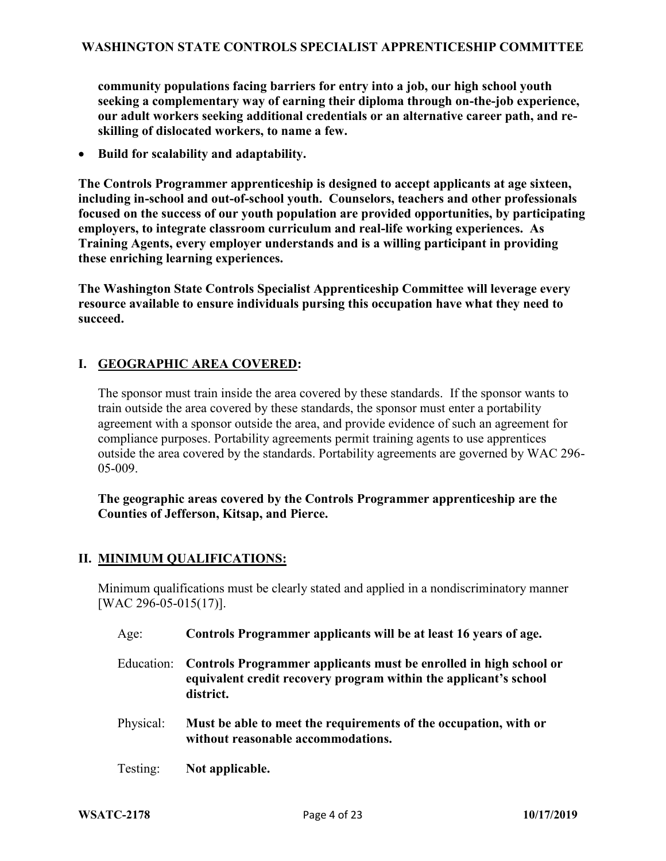**community populations facing barriers for entry into a job, our high school youth seeking a complementary way of earning their diploma through on-the-job experience, our adult workers seeking additional credentials or an alternative career path, and reskilling of dislocated workers, to name a few.**

**Build for scalability and adaptability.**

**The Controls Programmer apprenticeship is designed to accept applicants at age sixteen, including in-school and out-of-school youth. Counselors, teachers and other professionals focused on the success of our youth population are provided opportunities, by participating employers, to integrate classroom curriculum and real-life working experiences. As Training Agents, every employer understands and is a willing participant in providing these enriching learning experiences.**

**The Washington State Controls Specialist Apprenticeship Committee will leverage every resource available to ensure individuals pursing this occupation have what they need to succeed.**

# **I. GEOGRAPHIC AREA COVERED:**

The sponsor must train inside the area covered by these standards. If the sponsor wants to train outside the area covered by these standards, the sponsor must enter a portability agreement with a sponsor outside the area, and provide evidence of such an agreement for compliance purposes. Portability agreements permit training agents to use apprentices outside the area covered by the standards. Portability agreements are governed by WAC 296- 05-009.

**The geographic areas covered by the Controls Programmer apprenticeship are the Counties of Jefferson, Kitsap, and Pierce.**

### **II. MINIMUM QUALIFICATIONS:**

Minimum qualifications must be clearly stated and applied in a nondiscriminatory manner [WAC 296-05-015(17)].

- Age: **Controls Programmer applicants will be at least 16 years of age.**
- Education: **Controls Programmer applicants must be enrolled in high school or equivalent credit recovery program within the applicant's school district.**
- Physical: **Must be able to meet the requirements of the occupation, with or without reasonable accommodations.**
- Testing: **Not applicable.**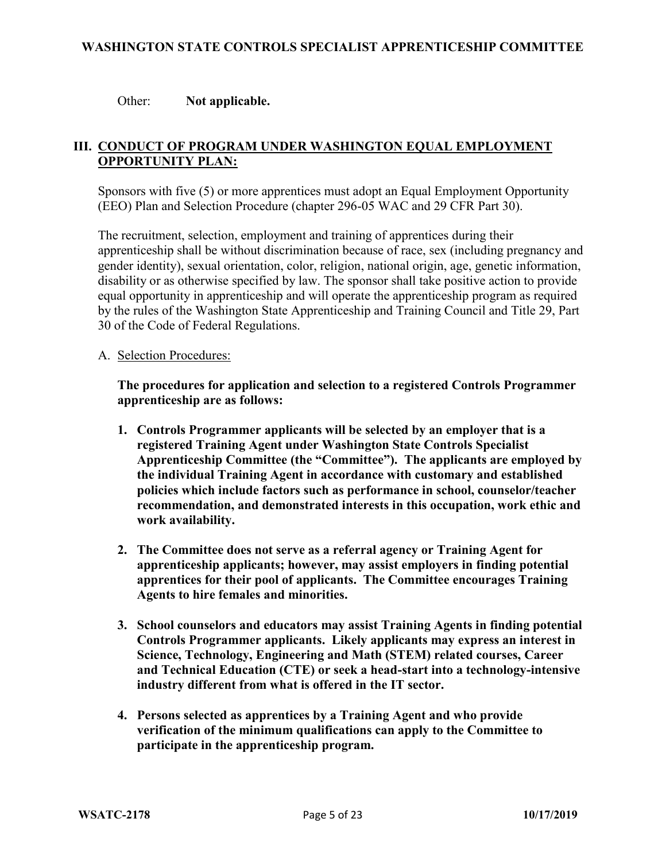### Other: **Not applicable.**

# **III. CONDUCT OF PROGRAM UNDER WASHINGTON EQUAL EMPLOYMENT OPPORTUNITY PLAN:**

Sponsors with five (5) or more apprentices must adopt an Equal Employment Opportunity (EEO) Plan and Selection Procedure (chapter 296-05 WAC and 29 CFR Part 30).

The recruitment, selection, employment and training of apprentices during their apprenticeship shall be without discrimination because of race, sex (including pregnancy and gender identity), sexual orientation, color, religion, national origin, age, genetic information, disability or as otherwise specified by law. The sponsor shall take positive action to provide equal opportunity in apprenticeship and will operate the apprenticeship program as required by the rules of the Washington State Apprenticeship and Training Council and Title 29, Part 30 of the Code of Federal Regulations.

A. Selection Procedures:

**The procedures for application and selection to a registered Controls Programmer apprenticeship are as follows:**

- **1. Controls Programmer applicants will be selected by an employer that is a registered Training Agent under Washington State Controls Specialist Apprenticeship Committee (the "Committee"). The applicants are employed by the individual Training Agent in accordance with customary and established policies which include factors such as performance in school, counselor/teacher recommendation, and demonstrated interests in this occupation, work ethic and work availability.**
- **2. The Committee does not serve as a referral agency or Training Agent for apprenticeship applicants; however, may assist employers in finding potential apprentices for their pool of applicants. The Committee encourages Training Agents to hire females and minorities.**
- **3. School counselors and educators may assist Training Agents in finding potential Controls Programmer applicants. Likely applicants may express an interest in Science, Technology, Engineering and Math (STEM) related courses, Career and Technical Education (CTE) or seek a head-start into a technology-intensive industry different from what is offered in the IT sector.**
- **4. Persons selected as apprentices by a Training Agent and who provide verification of the minimum qualifications can apply to the Committee to participate in the apprenticeship program.**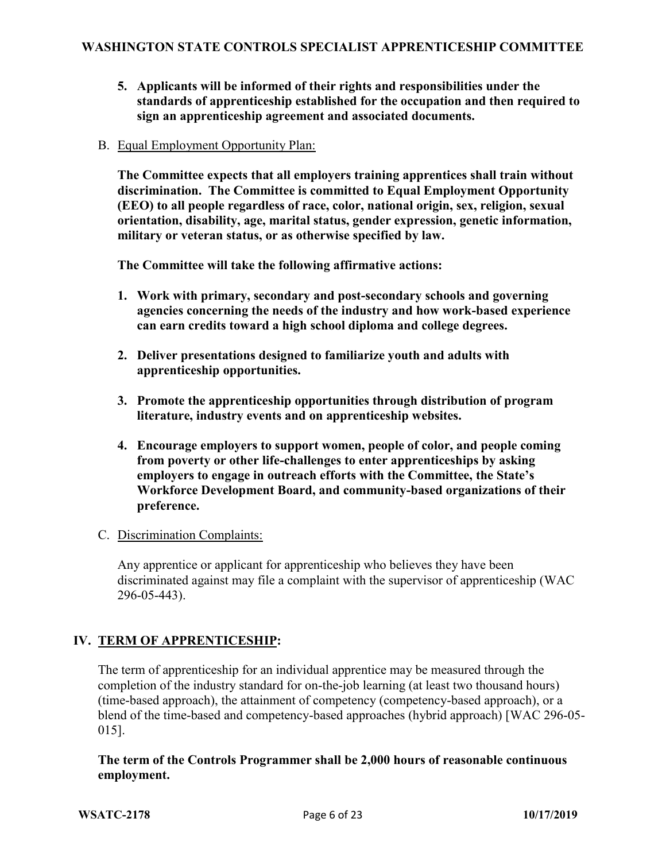- **5. Applicants will be informed of their rights and responsibilities under the standards of apprenticeship established for the occupation and then required to sign an apprenticeship agreement and associated documents.**
- B. Equal Employment Opportunity Plan:

**The Committee expects that all employers training apprentices shall train without discrimination. The Committee is committed to Equal Employment Opportunity (EEO) to all people regardless of race, color, national origin, sex, religion, sexual orientation, disability, age, marital status, gender expression, genetic information, military or veteran status, or as otherwise specified by law.** 

**The Committee will take the following affirmative actions:** 

- **1. Work with primary, secondary and post-secondary schools and governing agencies concerning the needs of the industry and how work-based experience can earn credits toward a high school diploma and college degrees.**
- **2. Deliver presentations designed to familiarize youth and adults with apprenticeship opportunities.**
- **3. Promote the apprenticeship opportunities through distribution of program literature, industry events and on apprenticeship websites.**
- **4. Encourage employers to support women, people of color, and people coming from poverty or other life-challenges to enter apprenticeships by asking employers to engage in outreach efforts with the Committee, the State's Workforce Development Board, and community-based organizations of their preference.**
- C. Discrimination Complaints:

Any apprentice or applicant for apprenticeship who believes they have been discriminated against may file a complaint with the supervisor of apprenticeship (WAC 296-05-443).

# **IV. TERM OF APPRENTICESHIP:**

The term of apprenticeship for an individual apprentice may be measured through the completion of the industry standard for on-the-job learning (at least two thousand hours) (time-based approach), the attainment of competency (competency-based approach), or a blend of the time-based and competency-based approaches (hybrid approach) [WAC 296-05- 015].

# **The term of the Controls Programmer shall be 2,000 hours of reasonable continuous employment.**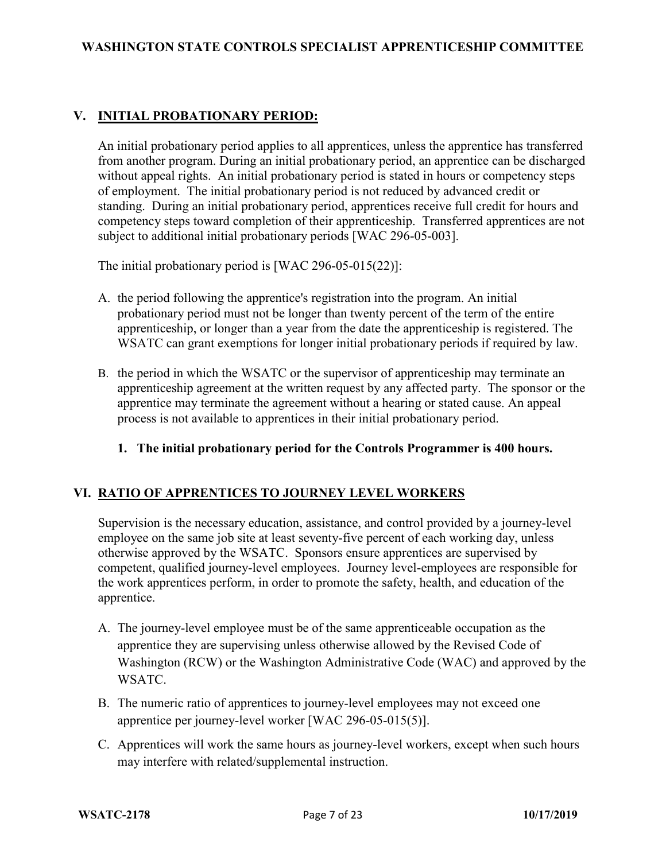# **V. INITIAL PROBATIONARY PERIOD:**

An initial probationary period applies to all apprentices, unless the apprentice has transferred from another program. During an initial probationary period, an apprentice can be discharged without appeal rights. An initial probationary period is stated in hours or competency steps of employment. The initial probationary period is not reduced by advanced credit or standing. During an initial probationary period, apprentices receive full credit for hours and competency steps toward completion of their apprenticeship. Transferred apprentices are not subject to additional initial probationary periods [WAC 296-05-003].

The initial probationary period is [WAC 296-05-015(22)]:

- A. the period following the apprentice's registration into the program. An initial probationary period must not be longer than twenty percent of the term of the entire apprenticeship, or longer than a year from the date the apprenticeship is registered. The WSATC can grant exemptions for longer initial probationary periods if required by law.
- B. the period in which the WSATC or the supervisor of apprenticeship may terminate an apprenticeship agreement at the written request by any affected party. The sponsor or the apprentice may terminate the agreement without a hearing or stated cause. An appeal process is not available to apprentices in their initial probationary period.
	- **1. The initial probationary period for the Controls Programmer is 400 hours.**

### **VI. RATIO OF APPRENTICES TO JOURNEY LEVEL WORKERS**

Supervision is the necessary education, assistance, and control provided by a journey-level employee on the same job site at least seventy-five percent of each working day, unless otherwise approved by the WSATC. Sponsors ensure apprentices are supervised by competent, qualified journey-level employees. Journey level-employees are responsible for the work apprentices perform, in order to promote the safety, health, and education of the apprentice.

- A. The journey-level employee must be of the same apprenticeable occupation as the apprentice they are supervising unless otherwise allowed by the Revised Code of Washington (RCW) or the Washington Administrative Code (WAC) and approved by the WSATC.
- B. The numeric ratio of apprentices to journey-level employees may not exceed one apprentice per journey-level worker [WAC 296-05-015(5)].
- C. Apprentices will work the same hours as journey-level workers, except when such hours may interfere with related/supplemental instruction.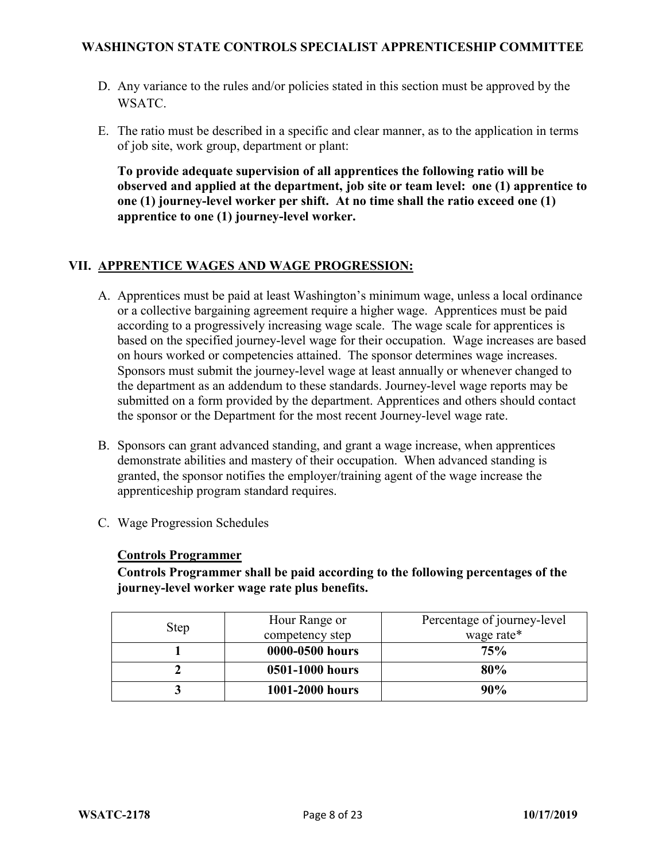- D. Any variance to the rules and/or policies stated in this section must be approved by the WSATC.
- E. The ratio must be described in a specific and clear manner, as to the application in terms of job site, work group, department or plant:

**To provide adequate supervision of all apprentices the following ratio will be observed and applied at the department, job site or team level: one (1) apprentice to one (1) journey-level worker per shift. At no time shall the ratio exceed one (1) apprentice to one (1) journey-level worker.**

# **VII. APPRENTICE WAGES AND WAGE PROGRESSION:**

- A. Apprentices must be paid at least Washington's minimum wage, unless a local ordinance or a collective bargaining agreement require a higher wage. Apprentices must be paid according to a progressively increasing wage scale. The wage scale for apprentices is based on the specified journey-level wage for their occupation. Wage increases are based on hours worked or competencies attained. The sponsor determines wage increases. Sponsors must submit the journey-level wage at least annually or whenever changed to the department as an addendum to these standards. Journey-level wage reports may be submitted on a form provided by the department. Apprentices and others should contact the sponsor or the Department for the most recent Journey-level wage rate.
- B. Sponsors can grant advanced standing, and grant a wage increase, when apprentices demonstrate abilities and mastery of their occupation. When advanced standing is granted, the sponsor notifies the employer/training agent of the wage increase the apprenticeship program standard requires.
- C. Wage Progression Schedules

### **Controls Programmer**

**Controls Programmer shall be paid according to the following percentages of the journey-level worker wage rate plus benefits.**

|      | Hour Range or   | Percentage of journey-level |
|------|-----------------|-----------------------------|
| Step | competency step | wage rate*                  |
|      | 0000-0500 hours | 75%                         |
|      | 0501-1000 hours | 80%                         |
| ັ    | 1001-2000 hours | 90%                         |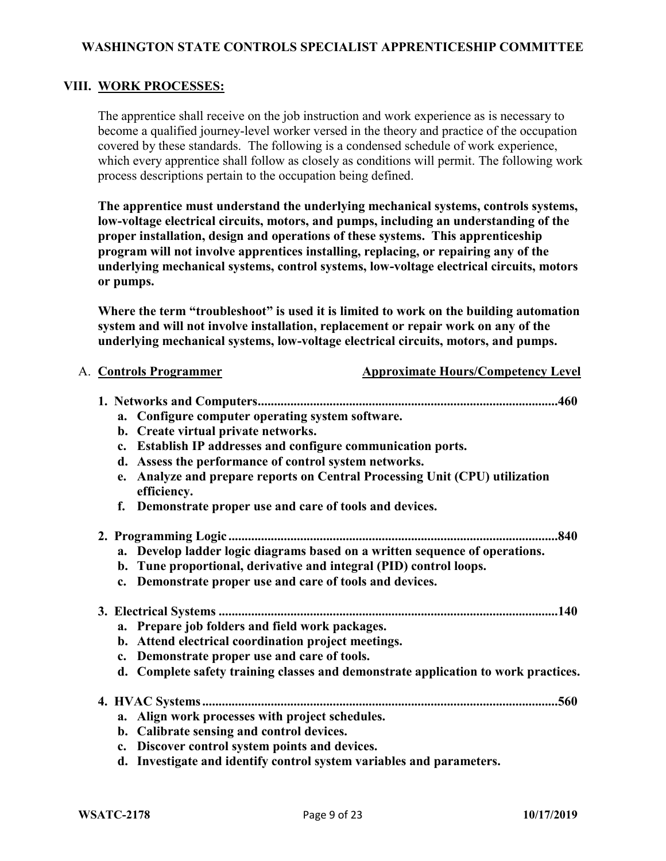### **VIII. WORK PROCESSES:**

The apprentice shall receive on the job instruction and work experience as is necessary to become a qualified journey-level worker versed in the theory and practice of the occupation covered by these standards. The following is a condensed schedule of work experience, which every apprentice shall follow as closely as conditions will permit. The following work process descriptions pertain to the occupation being defined.

**The apprentice must understand the underlying mechanical systems, controls systems, low-voltage electrical circuits, motors, and pumps, including an understanding of the proper installation, design and operations of these systems. This apprenticeship program will not involve apprentices installing, replacing, or repairing any of the underlying mechanical systems, control systems, low-voltage electrical circuits, motors or pumps.**

**Where the term "troubleshoot" is used it is limited to work on the building automation system and will not involve installation, replacement or repair work on any of the underlying mechanical systems, low-voltage electrical circuits, motors, and pumps.**

A. **Controls Programmer Approximate Hours/Competency Level** 

| a. Configure computer operating system software.                                              |
|-----------------------------------------------------------------------------------------------|
| b. Create virtual private networks.                                                           |
| c. Establish IP addresses and configure communication ports.                                  |
| Assess the performance of control system networks.<br>d.                                      |
| Analyze and prepare reports on Central Processing Unit (CPU) utilization<br>e.<br>efficiency. |
| Demonstrate proper use and care of tools and devices.<br>f.                                   |
| .840<br>2. Programming Logic                                                                  |
| a. Develop ladder logic diagrams based on a written sequence of operations.                   |
| b. Tune proportional, derivative and integral (PID) control loops.                            |
| c. Demonstrate proper use and care of tools and devices.                                      |
|                                                                                               |
| a. Prepare job folders and field work packages.                                               |
| b. Attend electrical coordination project meetings.                                           |
| Demonstrate proper use and care of tools.<br>$c_{\cdot}$                                      |
| d. Complete safety training classes and demonstrate application to work practices.            |
|                                                                                               |
|                                                                                               |
| Align work processes with project schedules.<br>a.                                            |
| b. Calibrate sensing and control devices.                                                     |
| Discover control system points and devices.<br>$c_{\bullet}$                                  |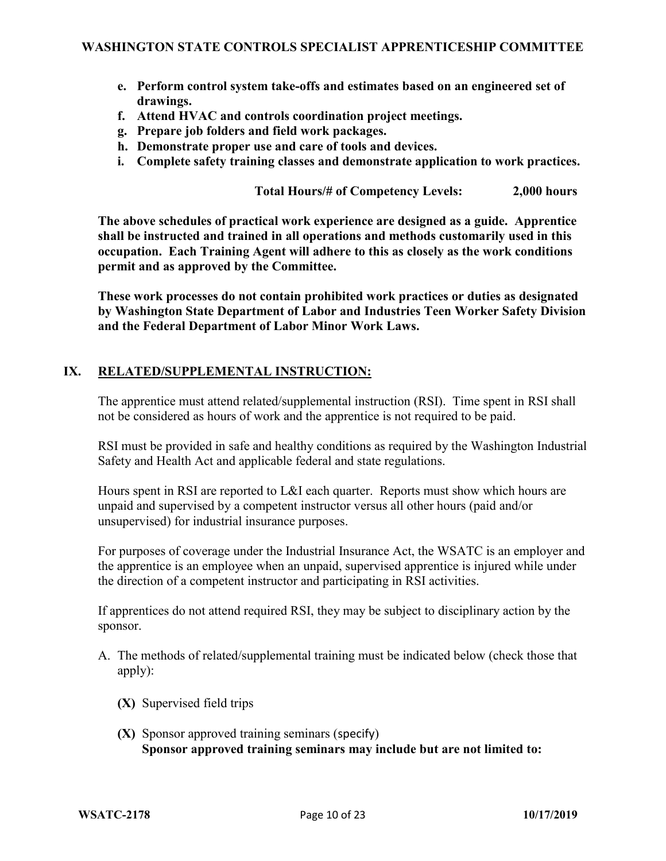- **e. Perform control system take-offs and estimates based on an engineered set of drawings.**
- **f. Attend HVAC and controls coordination project meetings.**
- **g. Prepare job folders and field work packages.**
- **h. Demonstrate proper use and care of tools and devices.**
- **i. Complete safety training classes and demonstrate application to work practices.**

**Total Hours/# of Competency Levels: 2,000 hours**

**The above schedules of practical work experience are designed as a guide. Apprentice shall be instructed and trained in all operations and methods customarily used in this occupation. Each Training Agent will adhere to this as closely as the work conditions permit and as approved by the Committee.**

**These work processes do not contain prohibited work practices or duties as designated by Washington State Department of Labor and Industries Teen Worker Safety Division and the Federal Department of Labor Minor Work Laws.**

### **IX. RELATED/SUPPLEMENTAL INSTRUCTION:**

The apprentice must attend related/supplemental instruction (RSI). Time spent in RSI shall not be considered as hours of work and the apprentice is not required to be paid.

RSI must be provided in safe and healthy conditions as required by the Washington Industrial Safety and Health Act and applicable federal and state regulations.

Hours spent in RSI are reported to L&I each quarter. Reports must show which hours are unpaid and supervised by a competent instructor versus all other hours (paid and/or unsupervised) for industrial insurance purposes.

For purposes of coverage under the Industrial Insurance Act, the WSATC is an employer and the apprentice is an employee when an unpaid, supervised apprentice is injured while under the direction of a competent instructor and participating in RSI activities.

If apprentices do not attend required RSI, they may be subject to disciplinary action by the sponsor.

- A. The methods of related/supplemental training must be indicated below (check those that apply):
	- **(X)** Supervised field trips
	- **(X)** Sponsor approved training seminars (specify) **Sponsor approved training seminars may include but are not limited to:**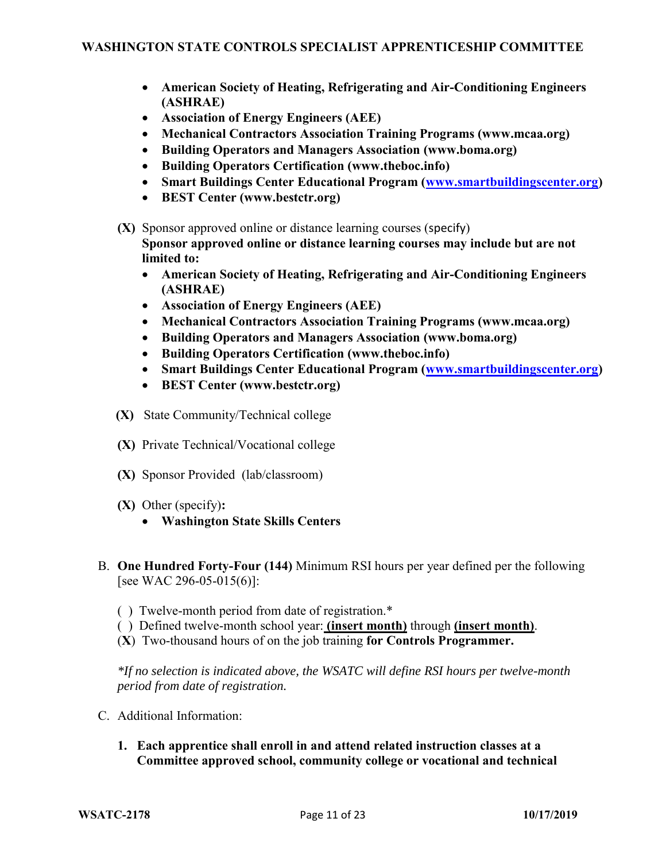- **American Society of Heating, Refrigerating and Air-Conditioning Engineers (ASHRAE)**
- **Association of Energy Engineers (AEE)**
- **Mechanical Contractors Association Training Programs (www.mcaa.org)**
- **Building Operators and Managers Association (www.boma.org)**
- **Building Operators Certification (www.theboc.info)**
- **Smart Buildings Center Educational Program [\(www.smartbuildingscenter.org\)](http://www.smartbuildingscenter.org/)**
- **BEST Center (www.bestctr.org)**
- **(X)** Sponsor approved online or distance learning courses (specify) **Sponsor approved online or distance learning courses may include but are not limited to:**
	- **American Society of Heating, Refrigerating and Air-Conditioning Engineers (ASHRAE)**
	- **Association of Energy Engineers (AEE)**
	- **Mechanical Contractors Association Training Programs (www.mcaa.org)**
	- **Building Operators and Managers Association (www.boma.org)**
	- **Building Operators Certification (www.theboc.info)**
	- **Smart Buildings Center Educational Program [\(www.smartbuildingscenter.org\)](http://www.smartbuildingscenter.org/)**
	- **BEST Center (www.bestctr.org)**
- **(X)** State Community/Technical college
- **(X)** Private Technical/Vocational college
- **(X)** Sponsor Provided (lab/classroom)
- **(X)** Other (specify)**:** 
	- **Washington State Skills Centers**
- B. **One Hundred Forty-Four (144)** Minimum RSI hours per year defined per the following [see WAC 296-05-015(6)]:
	- ( ) Twelve-month period from date of registration.\*
	- ( ) Defined twelve-month school year: **(insert month)** through **(insert month)**.
	- (**X**) Two-thousand hours of on the job training **for Controls Programmer.**

*\*If no selection is indicated above, the WSATC will define RSI hours per twelve-month period from date of registration.*

- C. Additional Information:
	- **1. Each apprentice shall enroll in and attend related instruction classes at a Committee approved school, community college or vocational and technical**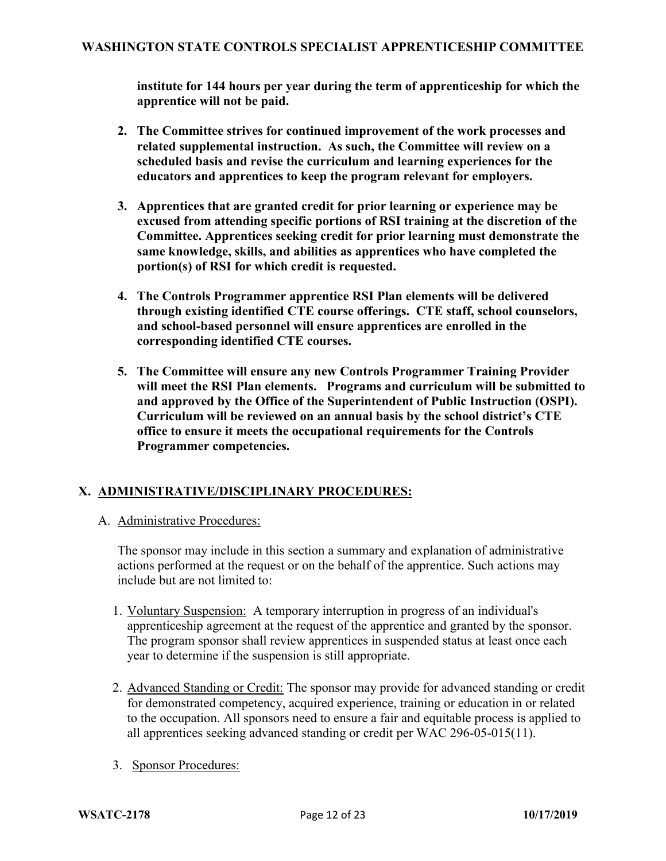**institute for 144 hours per year during the term of apprenticeship for which the apprentice will not be paid.**

- **2. The Committee strives for continued improvement of the work processes and related supplemental instruction. As such, the Committee will review on a scheduled basis and revise the curriculum and learning experiences for the educators and apprentices to keep the program relevant for employers.**
- **3. Apprentices that are granted credit for prior learning or experience may be excused from attending specific portions of RSI training at the discretion of the Committee. Apprentices seeking credit for prior learning must demonstrate the same knowledge, skills, and abilities as apprentices who have completed the portion(s) of RSI for which credit is requested.**
- **4. The Controls Programmer apprentice RSI Plan elements will be delivered through existing identified CTE course offerings. CTE staff, school counselors, and school-based personnel will ensure apprentices are enrolled in the corresponding identified CTE courses.**
- **5. The Committee will ensure any new Controls Programmer Training Provider will meet the RSI Plan elements. Programs and curriculum will be submitted to and approved by the Office of the Superintendent of Public Instruction (OSPI). Curriculum will be reviewed on an annual basis by the school district's CTE office to ensure it meets the occupational requirements for the Controls Programmer competencies.**

# **X. ADMINISTRATIVE/DISCIPLINARY PROCEDURES:**

A. Administrative Procedures:

The sponsor may include in this section a summary and explanation of administrative actions performed at the request or on the behalf of the apprentice. Such actions may include but are not limited to:

- 1. Voluntary Suspension: A temporary interruption in progress of an individual's apprenticeship agreement at the request of the apprentice and granted by the sponsor. The program sponsor shall review apprentices in suspended status at least once each year to determine if the suspension is still appropriate.
- 2. Advanced Standing or Credit: The sponsor may provide for advanced standing or credit for demonstrated competency, acquired experience, training or education in or related to the occupation. All sponsors need to ensure a fair and equitable process is applied to all apprentices seeking advanced standing or credit per WAC 296-05-015(11).
- 3. Sponsor Procedures: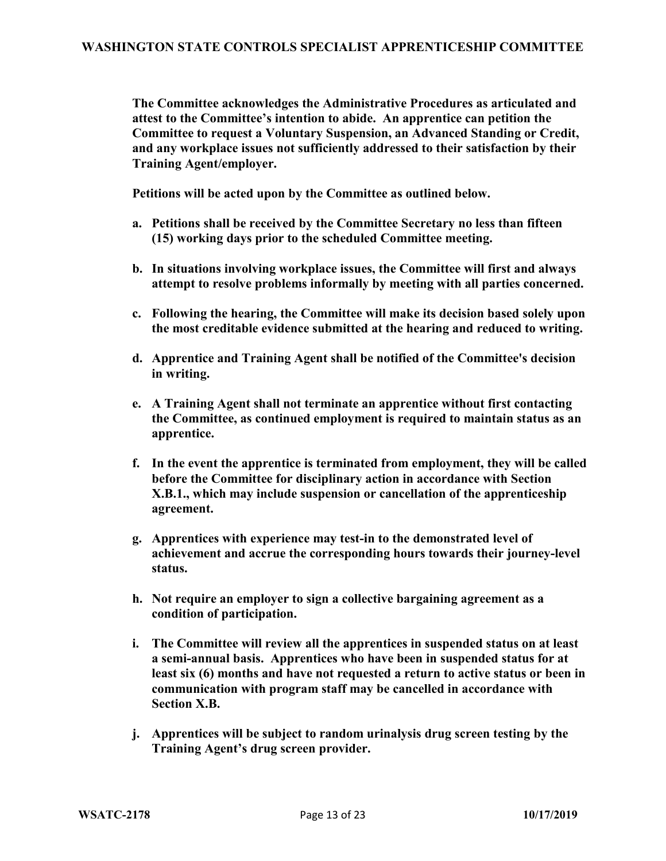**The Committee acknowledges the Administrative Procedures as articulated and attest to the Committee's intention to abide. An apprentice can petition the Committee to request a Voluntary Suspension, an Advanced Standing or Credit, and any workplace issues not sufficiently addressed to their satisfaction by their Training Agent/employer.** 

**Petitions will be acted upon by the Committee as outlined below.**

- **a. Petitions shall be received by the Committee Secretary no less than fifteen (15) working days prior to the scheduled Committee meeting.**
- **b. In situations involving workplace issues, the Committee will first and always attempt to resolve problems informally by meeting with all parties concerned.**
- **c. Following the hearing, the Committee will make its decision based solely upon the most creditable evidence submitted at the hearing and reduced to writing.**
- **d. Apprentice and Training Agent shall be notified of the Committee's decision in writing.**
- **e. A Training Agent shall not terminate an apprentice without first contacting the Committee, as continued employment is required to maintain status as an apprentice.**
- **f. In the event the apprentice is terminated from employment, they will be called before the Committee for disciplinary action in accordance with Section X.B.1., which may include suspension or cancellation of the apprenticeship agreement.**
- **g. Apprentices with experience may test-in to the demonstrated level of achievement and accrue the corresponding hours towards their journey-level status.**
- **h. Not require an employer to sign a collective bargaining agreement as a condition of participation.**
- **i. The Committee will review all the apprentices in suspended status on at least a semi-annual basis. Apprentices who have been in suspended status for at least six (6) months and have not requested a return to active status or been in communication with program staff may be cancelled in accordance with Section X.B.**
- **j. Apprentices will be subject to random urinalysis drug screen testing by the Training Agent's drug screen provider.**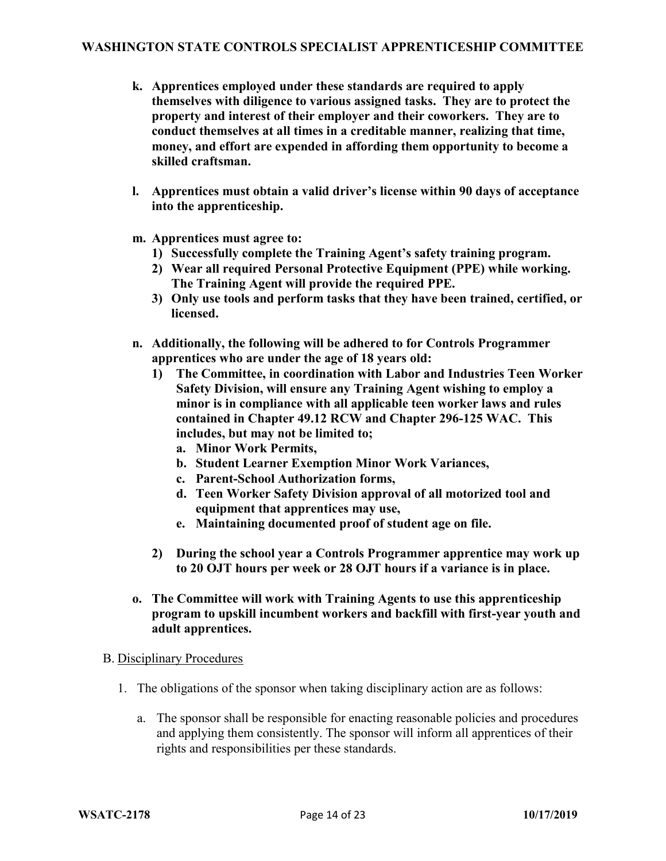- **k. Apprentices employed under these standards are required to apply themselves with diligence to various assigned tasks. They are to protect the property and interest of their employer and their coworkers. They are to conduct themselves at all times in a creditable manner, realizing that time, money, and effort are expended in affording them opportunity to become a skilled craftsman.**
- **l. Apprentices must obtain a valid driver's license within 90 days of acceptance into the apprenticeship.**
- **m. Apprentices must agree to:**
	- **1) Successfully complete the Training Agent's safety training program.**
	- **2) Wear all required Personal Protective Equipment (PPE) while working. The Training Agent will provide the required PPE.**
	- **3) Only use tools and perform tasks that they have been trained, certified, or licensed.**
- **n. Additionally, the following will be adhered to for Controls Programmer apprentices who are under the age of 18 years old:**
	- **1) The Committee, in coordination with Labor and Industries Teen Worker Safety Division, will ensure any Training Agent wishing to employ a minor is in compliance with all applicable teen worker laws and rules contained in Chapter 49.12 RCW and Chapter 296-125 WAC. This includes, but may not be limited to;**
		- **a. Minor Work Permits,**
		- **b. Student Learner Exemption Minor Work Variances,**
		- **c. Parent-School Authorization forms,**
		- **d. Teen Worker Safety Division approval of all motorized tool and equipment that apprentices may use,**
		- **e. Maintaining documented proof of student age on file.**
	- **2) During the school year a Controls Programmer apprentice may work up to 20 OJT hours per week or 28 OJT hours if a variance is in place.**
- **o. The Committee will work with Training Agents to use this apprenticeship program to upskill incumbent workers and backfill with first-year youth and adult apprentices.**

### B. Disciplinary Procedures

- 1. The obligations of the sponsor when taking disciplinary action are as follows:
	- a. The sponsor shall be responsible for enacting reasonable policies and procedures and applying them consistently. The sponsor will inform all apprentices of their rights and responsibilities per these standards.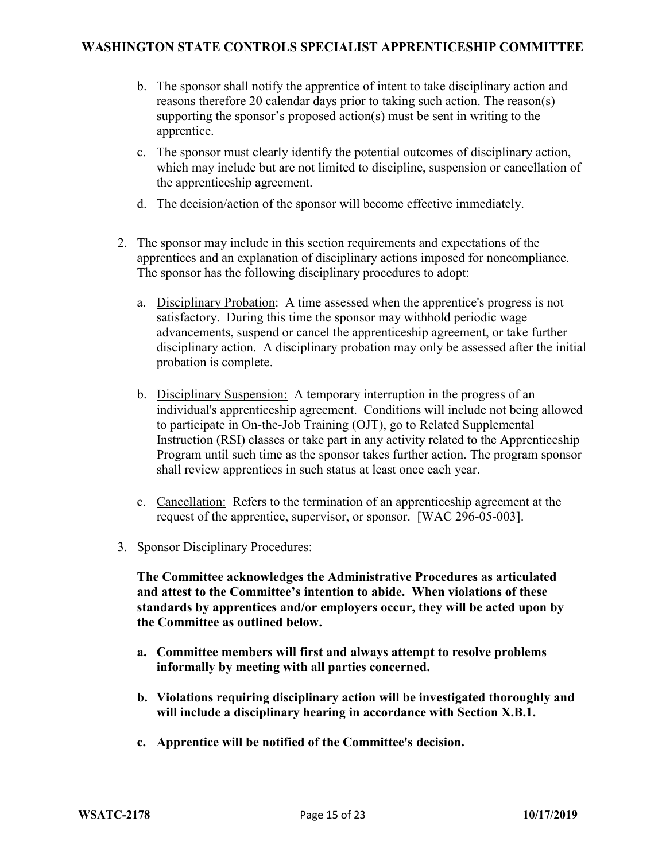- b. The sponsor shall notify the apprentice of intent to take disciplinary action and reasons therefore 20 calendar days prior to taking such action. The reason(s) supporting the sponsor's proposed action(s) must be sent in writing to the apprentice.
- c. The sponsor must clearly identify the potential outcomes of disciplinary action, which may include but are not limited to discipline, suspension or cancellation of the apprenticeship agreement.
- d. The decision/action of the sponsor will become effective immediately.
- 2. The sponsor may include in this section requirements and expectations of the apprentices and an explanation of disciplinary actions imposed for noncompliance. The sponsor has the following disciplinary procedures to adopt:
	- a. Disciplinary Probation: A time assessed when the apprentice's progress is not satisfactory. During this time the sponsor may withhold periodic wage advancements, suspend or cancel the apprenticeship agreement, or take further disciplinary action. A disciplinary probation may only be assessed after the initial probation is complete.
	- b. Disciplinary Suspension: A temporary interruption in the progress of an individual's apprenticeship agreement. Conditions will include not being allowed to participate in On-the-Job Training (OJT), go to Related Supplemental Instruction (RSI) classes or take part in any activity related to the Apprenticeship Program until such time as the sponsor takes further action. The program sponsor shall review apprentices in such status at least once each year.
	- c. Cancellation: Refers to the termination of an apprenticeship agreement at the request of the apprentice, supervisor, or sponsor. [WAC 296-05-003].
- 3. Sponsor Disciplinary Procedures:

**The Committee acknowledges the Administrative Procedures as articulated and attest to the Committee's intention to abide. When violations of these standards by apprentices and/or employers occur, they will be acted upon by the Committee as outlined below.**

- **a. Committee members will first and always attempt to resolve problems informally by meeting with all parties concerned.**
- **b. Violations requiring disciplinary action will be investigated thoroughly and will include a disciplinary hearing in accordance with Section X.B.1.**
- **c. Apprentice will be notified of the Committee's decision.**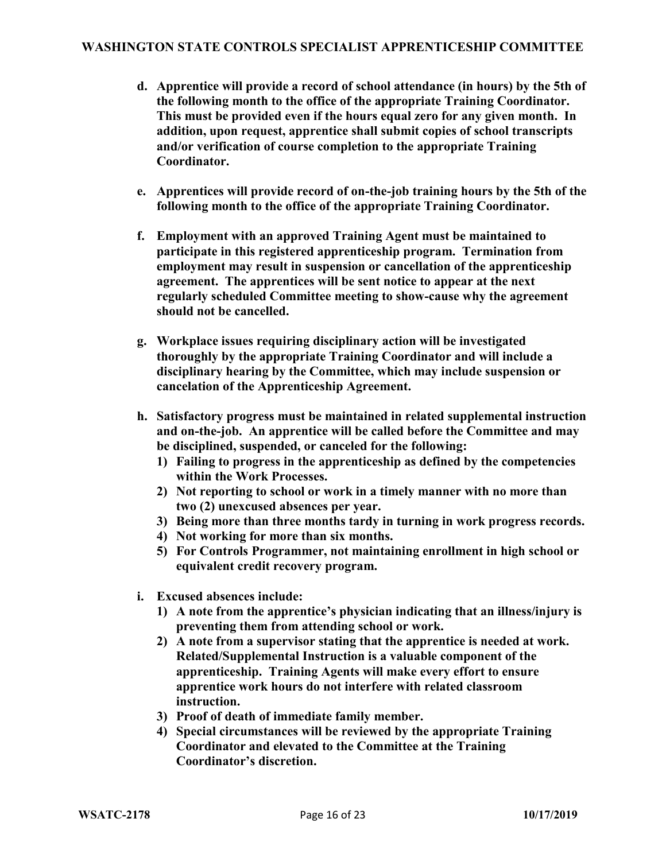- **d. Apprentice will provide a record of school attendance (in hours) by the 5th of the following month to the office of the appropriate Training Coordinator. This must be provided even if the hours equal zero for any given month. In addition, upon request, apprentice shall submit copies of school transcripts and/or verification of course completion to the appropriate Training Coordinator.**
- **e. Apprentices will provide record of on-the-job training hours by the 5th of the following month to the office of the appropriate Training Coordinator.**
- **f. Employment with an approved Training Agent must be maintained to participate in this registered apprenticeship program. Termination from employment may result in suspension or cancellation of the apprenticeship agreement. The apprentices will be sent notice to appear at the next regularly scheduled Committee meeting to show-cause why the agreement should not be cancelled.**
- **g. Workplace issues requiring disciplinary action will be investigated thoroughly by the appropriate Training Coordinator and will include a disciplinary hearing by the Committee, which may include suspension or cancelation of the Apprenticeship Agreement.**
- **h. Satisfactory progress must be maintained in related supplemental instruction and on-the-job. An apprentice will be called before the Committee and may be disciplined, suspended, or canceled for the following:**
	- **1) Failing to progress in the apprenticeship as defined by the competencies within the Work Processes.**
	- **2) Not reporting to school or work in a timely manner with no more than two (2) unexcused absences per year.**
	- **3) Being more than three months tardy in turning in work progress records.**
	- **4) Not working for more than six months.**
	- **5) For Controls Programmer, not maintaining enrollment in high school or equivalent credit recovery program.**
- **i. Excused absences include:**
	- **1) A note from the apprentice's physician indicating that an illness/injury is preventing them from attending school or work.**
	- **2) A note from a supervisor stating that the apprentice is needed at work. Related/Supplemental Instruction is a valuable component of the apprenticeship. Training Agents will make every effort to ensure apprentice work hours do not interfere with related classroom instruction.**
	- **3) Proof of death of immediate family member.**
	- **4) Special circumstances will be reviewed by the appropriate Training Coordinator and elevated to the Committee at the Training Coordinator's discretion.**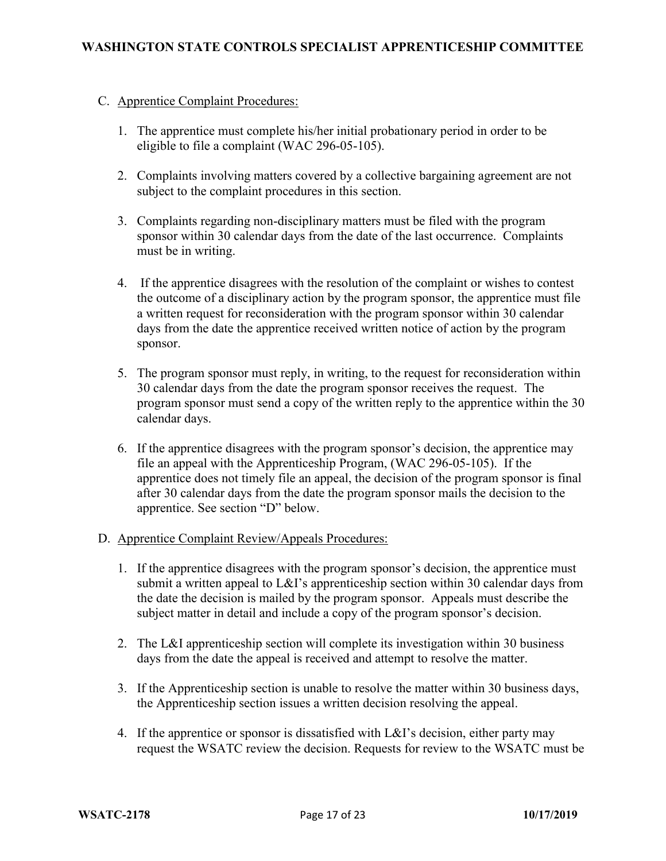### C. Apprentice Complaint Procedures:

- 1. The apprentice must complete his/her initial probationary period in order to be eligible to file a complaint (WAC 296-05-105).
- 2. Complaints involving matters covered by a collective bargaining agreement are not subject to the complaint procedures in this section.
- 3. Complaints regarding non-disciplinary matters must be filed with the program sponsor within 30 calendar days from the date of the last occurrence. Complaints must be in writing.
- 4. If the apprentice disagrees with the resolution of the complaint or wishes to contest the outcome of a disciplinary action by the program sponsor, the apprentice must file a written request for reconsideration with the program sponsor within 30 calendar days from the date the apprentice received written notice of action by the program sponsor.
- 5. The program sponsor must reply, in writing, to the request for reconsideration within 30 calendar days from the date the program sponsor receives the request. The program sponsor must send a copy of the written reply to the apprentice within the 30 calendar days.
- 6. If the apprentice disagrees with the program sponsor's decision, the apprentice may file an appeal with the Apprenticeship Program, (WAC 296-05-105). If the apprentice does not timely file an appeal, the decision of the program sponsor is final after 30 calendar days from the date the program sponsor mails the decision to the apprentice. See section "D" below.
- D. Apprentice Complaint Review/Appeals Procedures:
	- 1. If the apprentice disagrees with the program sponsor's decision, the apprentice must submit a written appeal to L&I's apprenticeship section within 30 calendar days from the date the decision is mailed by the program sponsor. Appeals must describe the subject matter in detail and include a copy of the program sponsor's decision.
	- 2. The L&I apprenticeship section will complete its investigation within 30 business days from the date the appeal is received and attempt to resolve the matter.
	- 3. If the Apprenticeship section is unable to resolve the matter within 30 business days, the Apprenticeship section issues a written decision resolving the appeal.
	- 4. If the apprentice or sponsor is dissatisfied with L&I's decision, either party may request the WSATC review the decision. Requests for review to the WSATC must be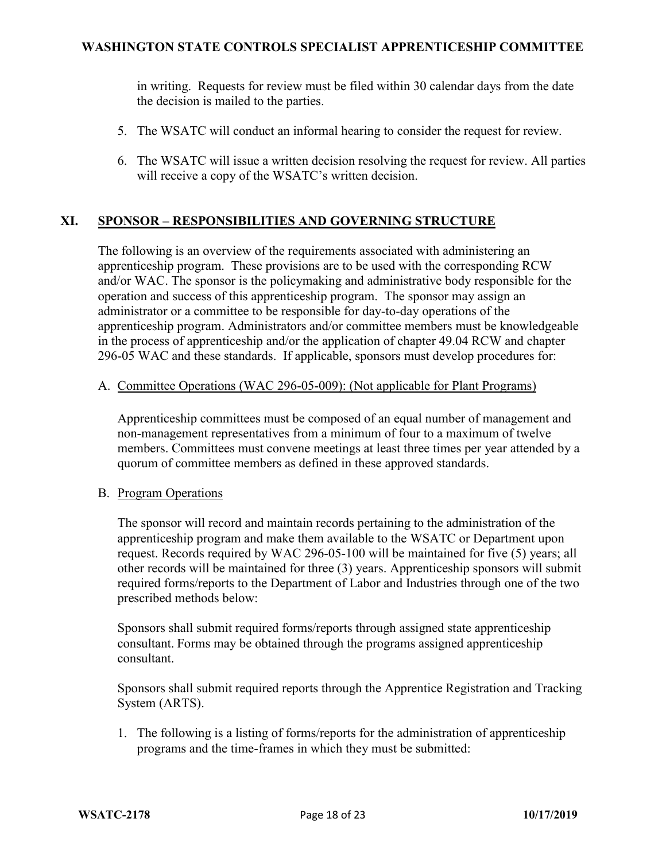in writing. Requests for review must be filed within 30 calendar days from the date the decision is mailed to the parties.

- 5. The WSATC will conduct an informal hearing to consider the request for review.
- 6. The WSATC will issue a written decision resolving the request for review. All parties will receive a copy of the WSATC's written decision.

# **XI. SPONSOR – RESPONSIBILITIES AND GOVERNING STRUCTURE**

The following is an overview of the requirements associated with administering an apprenticeship program. These provisions are to be used with the corresponding RCW and/or WAC. The sponsor is the policymaking and administrative body responsible for the operation and success of this apprenticeship program. The sponsor may assign an administrator or a committee to be responsible for day-to-day operations of the apprenticeship program. Administrators and/or committee members must be knowledgeable in the process of apprenticeship and/or the application of chapter 49.04 RCW and chapter 296-05 WAC and these standards. If applicable, sponsors must develop procedures for:

### A. Committee Operations (WAC 296-05-009): (Not applicable for Plant Programs)

Apprenticeship committees must be composed of an equal number of management and non-management representatives from a minimum of four to a maximum of twelve members. Committees must convene meetings at least three times per year attended by a quorum of committee members as defined in these approved standards.

### B. Program Operations

The sponsor will record and maintain records pertaining to the administration of the apprenticeship program and make them available to the WSATC or Department upon request. Records required by WAC 296-05-100 will be maintained for five (5) years; all other records will be maintained for three (3) years. Apprenticeship sponsors will submit required forms/reports to the Department of Labor and Industries through one of the two prescribed methods below:

Sponsors shall submit required forms/reports through assigned state apprenticeship consultant. Forms may be obtained through the programs assigned apprenticeship consultant.

Sponsors shall submit required reports through the Apprentice Registration and Tracking System (ARTS).

1. The following is a listing of forms/reports for the administration of apprenticeship programs and the time-frames in which they must be submitted: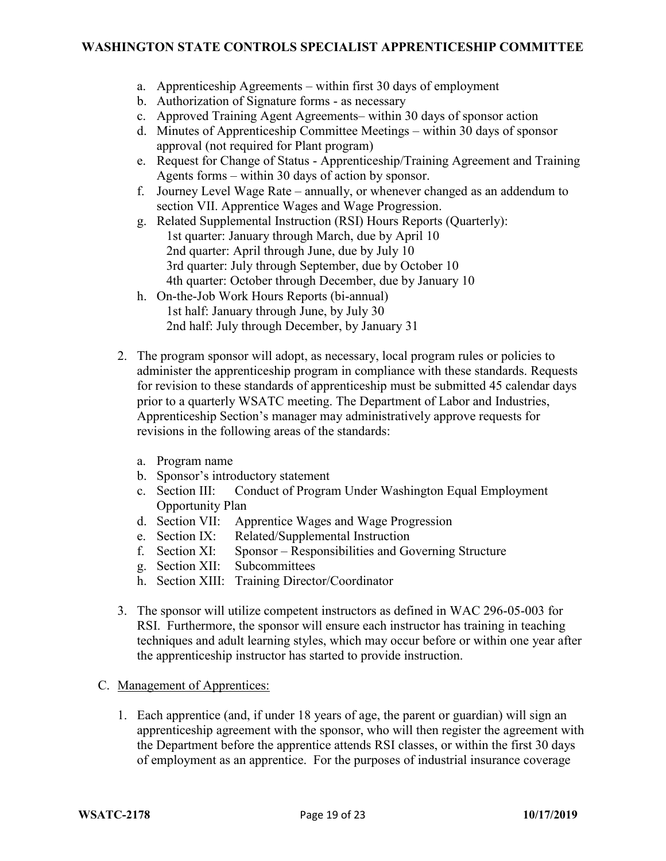- a. Apprenticeship Agreements within first 30 days of employment
- b. Authorization of Signature forms as necessary
- c. Approved Training Agent Agreements– within 30 days of sponsor action
- d. Minutes of Apprenticeship Committee Meetings within 30 days of sponsor approval (not required for Plant program)
- e. Request for Change of Status Apprenticeship/Training Agreement and Training Agents forms – within 30 days of action by sponsor.
- f. Journey Level Wage Rate annually, or whenever changed as an addendum to section VII. Apprentice Wages and Wage Progression.
- g. Related Supplemental Instruction (RSI) Hours Reports (Quarterly): 1st quarter: January through March, due by April 10 2nd quarter: April through June, due by July 10 3rd quarter: July through September, due by October 10 4th quarter: October through December, due by January 10
- h. On-the-Job Work Hours Reports (bi-annual) 1st half: January through June, by July 30 2nd half: July through December, by January 31
- 2. The program sponsor will adopt, as necessary, local program rules or policies to administer the apprenticeship program in compliance with these standards. Requests for revision to these standards of apprenticeship must be submitted 45 calendar days prior to a quarterly WSATC meeting. The Department of Labor and Industries, Apprenticeship Section's manager may administratively approve requests for revisions in the following areas of the standards:
	- a. Program name
	- b. Sponsor's introductory statement
	- c. Section III: Conduct of Program Under Washington Equal Employment Opportunity Plan
	- d. Section VII: Apprentice Wages and Wage Progression
	- e. Section IX: Related/Supplemental Instruction<br>f. Section XI: Sponsor Responsibilities and Go
	- Sponsor Responsibilities and Governing Structure
	- g. Section XII: Subcommittees
	- h. Section XIII: Training Director/Coordinator
- 3. The sponsor will utilize competent instructors as defined in WAC 296-05-003 for RSI. Furthermore, the sponsor will ensure each instructor has training in teaching techniques and adult learning styles, which may occur before or within one year after the apprenticeship instructor has started to provide instruction.
- C. Management of Apprentices:
	- 1. Each apprentice (and, if under 18 years of age, the parent or guardian) will sign an apprenticeship agreement with the sponsor, who will then register the agreement with the Department before the apprentice attends RSI classes, or within the first 30 days of employment as an apprentice. For the purposes of industrial insurance coverage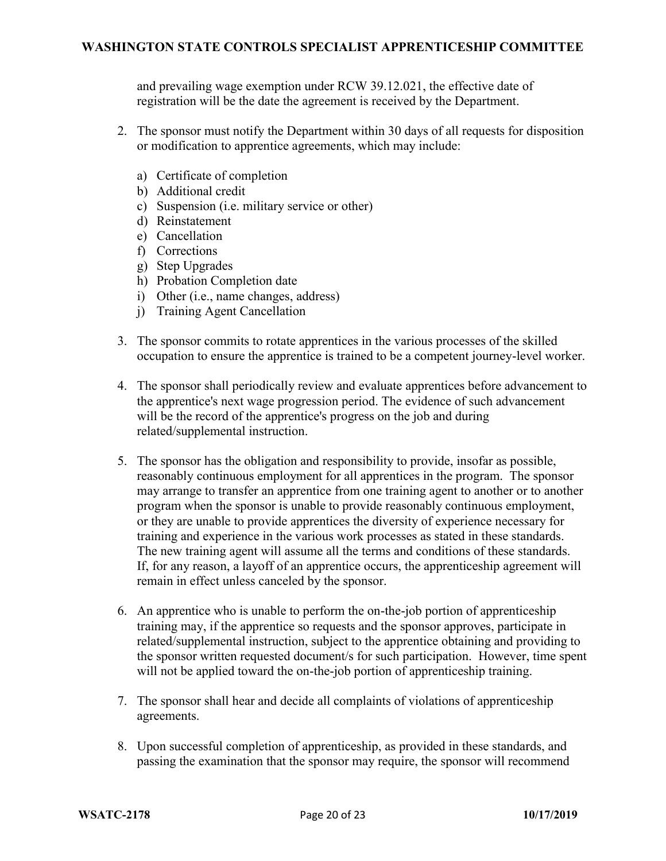and prevailing wage exemption under RCW 39.12.021, the effective date of registration will be the date the agreement is received by the Department.

- 2. The sponsor must notify the Department within 30 days of all requests for disposition or modification to apprentice agreements, which may include:
	- a) Certificate of completion
	- b) Additional credit
	- c) Suspension (i.e. military service or other)
	- d) Reinstatement
	- e) Cancellation
	- f) Corrections
	- g) Step Upgrades
	- h) Probation Completion date
	- i) Other (i.e., name changes, address)
	- j) Training Agent Cancellation
- 3. The sponsor commits to rotate apprentices in the various processes of the skilled occupation to ensure the apprentice is trained to be a competent journey-level worker.
- 4. The sponsor shall periodically review and evaluate apprentices before advancement to the apprentice's next wage progression period. The evidence of such advancement will be the record of the apprentice's progress on the job and during related/supplemental instruction.
- 5. The sponsor has the obligation and responsibility to provide, insofar as possible, reasonably continuous employment for all apprentices in the program. The sponsor may arrange to transfer an apprentice from one training agent to another or to another program when the sponsor is unable to provide reasonably continuous employment, or they are unable to provide apprentices the diversity of experience necessary for training and experience in the various work processes as stated in these standards. The new training agent will assume all the terms and conditions of these standards. If, for any reason, a layoff of an apprentice occurs, the apprenticeship agreement will remain in effect unless canceled by the sponsor.
- 6. An apprentice who is unable to perform the on-the-job portion of apprenticeship training may, if the apprentice so requests and the sponsor approves, participate in related/supplemental instruction, subject to the apprentice obtaining and providing to the sponsor written requested document/s for such participation. However, time spent will not be applied toward the on-the-job portion of apprenticeship training.
- 7. The sponsor shall hear and decide all complaints of violations of apprenticeship agreements.
- 8. Upon successful completion of apprenticeship, as provided in these standards, and passing the examination that the sponsor may require, the sponsor will recommend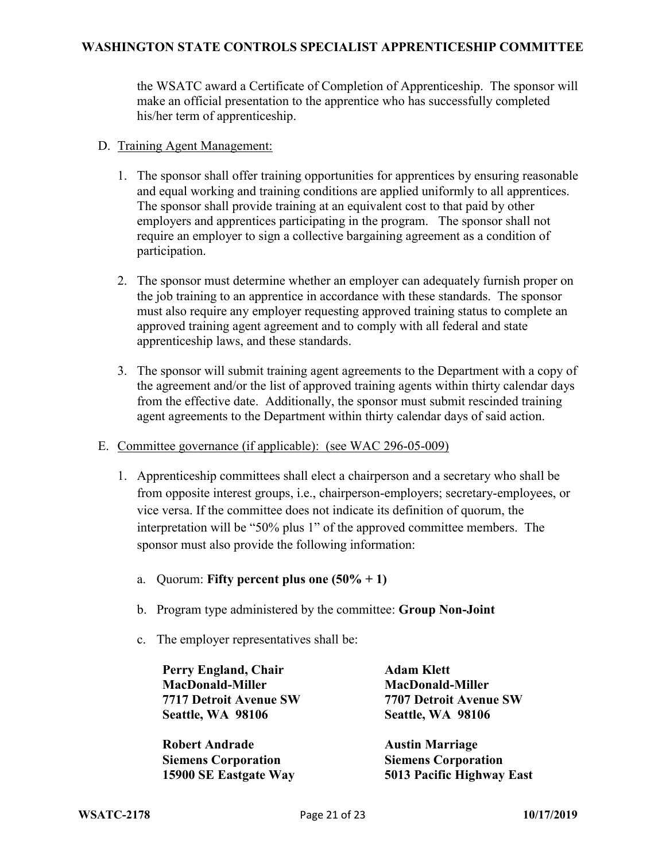the WSATC award a Certificate of Completion of Apprenticeship. The sponsor will make an official presentation to the apprentice who has successfully completed his/her term of apprenticeship.

- D. Training Agent Management:
	- 1. The sponsor shall offer training opportunities for apprentices by ensuring reasonable and equal working and training conditions are applied uniformly to all apprentices. The sponsor shall provide training at an equivalent cost to that paid by other employers and apprentices participating in the program. The sponsor shall not require an employer to sign a collective bargaining agreement as a condition of participation.
	- 2. The sponsor must determine whether an employer can adequately furnish proper on the job training to an apprentice in accordance with these standards. The sponsor must also require any employer requesting approved training status to complete an approved training agent agreement and to comply with all federal and state apprenticeship laws, and these standards.
	- 3. The sponsor will submit training agent agreements to the Department with a copy of the agreement and/or the list of approved training agents within thirty calendar days from the effective date. Additionally, the sponsor must submit rescinded training agent agreements to the Department within thirty calendar days of said action.
- E. Committee governance (if applicable): (see WAC 296-05-009)
	- 1. Apprenticeship committees shall elect a chairperson and a secretary who shall be from opposite interest groups, i.e., chairperson-employers; secretary-employees, or vice versa. If the committee does not indicate its definition of quorum, the interpretation will be "50% plus 1" of the approved committee members. The sponsor must also provide the following information:
		- a. Quorum: **Fifty percent plus one (50% + 1)**
		- b. Program type administered by the committee: **Group Non-Joint**
		- c. The employer representatives shall be:

**Perry England, Chair MacDonald-Miller 7717 Detroit Avenue SW Seattle, WA 98106**

**Adam Klett MacDonald-Miller 7707 Detroit Avenue SW Seattle, WA 98106**

**Robert Andrade Siemens Corporation 15900 SE Eastgate Way Austin Marriage Siemens Corporation 5013 Pacific Highway East**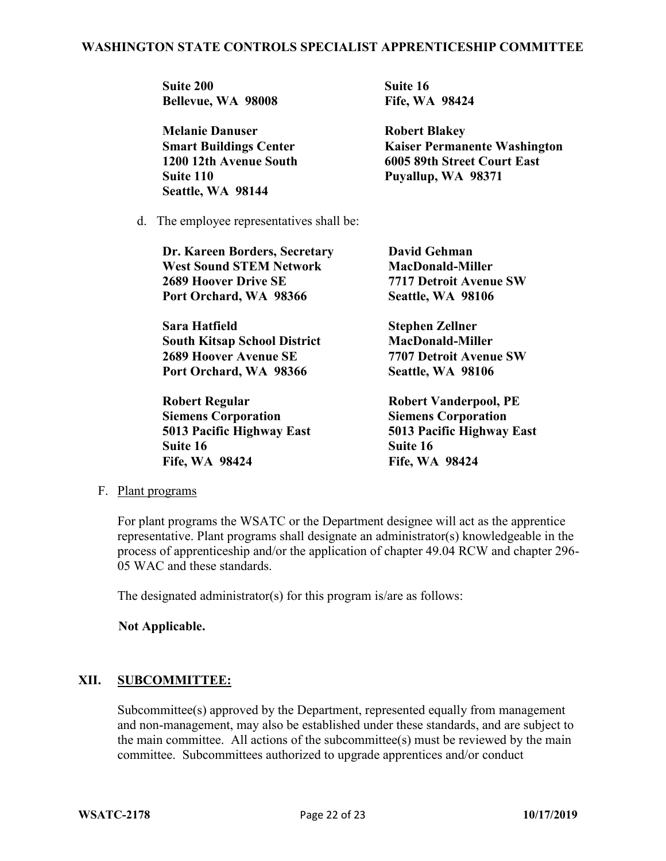**Suite 200 Bellevue, WA 98008** **Suite 16 Fife, WA 98424**

| <b>Melanie Danuser</b>        | <b>Robert Blakey</b>                |  |
|-------------------------------|-------------------------------------|--|
| <b>Smart Buildings Center</b> | <b>Kaiser Permanente Washington</b> |  |
| 1200 12th Avenue South        | 6005 89th Street Court East         |  |
| Suite 110                     | Puyallup, WA 98371                  |  |
| Seattle, WA 98144             |                                     |  |

d. The employee representatives shall be:

| Dr. Kareen Borders, Secretary       | <b>David Gehman</b>   |
|-------------------------------------|-----------------------|
| <b>West Sound STEM Network</b>      | <b>MacDonald-Mi</b>   |
| <b>2689 Hoover Drive SE</b>         | 7717 Detroit Av       |
| Port Orchard, WA 98366              | Seattle, WA 98        |
| <b>Sara Hatfield</b>                | <b>Stephen Zellne</b> |
| <b>South Kitsan School District</b> | MacDonald-Mi          |

**South Kitsap School District 2689 Hoover Avenue SE Port Orchard, WA 98366**

**Robert Regular Siemens Corporation 5013 Pacific Highway East Suite 16 Fife, WA 98424**

**Miller Avenue SW Seattle, WA 98106**

ner **MacDonald-Miller 7707 Detroit Avenue SW Seattle, WA 98106**

**Robert Vanderpool, PE Siemens Corporation 5013 Pacific Highway East Suite 16 Fife, WA 98424**

### F. Plant programs

For plant programs the WSATC or the Department designee will act as the apprentice representative. Plant programs shall designate an administrator(s) knowledgeable in the process of apprenticeship and/or the application of chapter 49.04 RCW and chapter 296- 05 WAC and these standards.

The designated administrator(s) for this program is/are as follows:

### **Not Applicable.**

### **XII. SUBCOMMITTEE:**

Subcommittee(s) approved by the Department, represented equally from management and non-management, may also be established under these standards, and are subject to the main committee. All actions of the subcommittee(s) must be reviewed by the main committee. Subcommittees authorized to upgrade apprentices and/or conduct